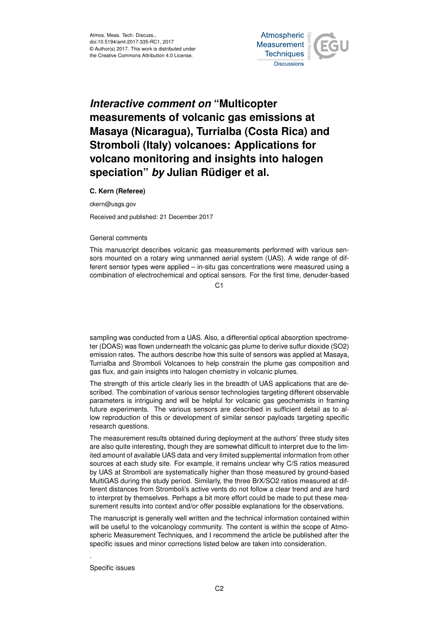

## *Interactive comment on* **"Multicopter measurements of volcanic gas emissions at Masaya (Nicaragua), Turrialba (Costa Rica) and Stromboli (Italy) volcanoes: Applications for volcano monitoring and insights into halogen speciation"** *by* **Julian Rüdiger et al.**

## **C. Kern (Referee)**

ckern@usgs.gov

Received and published: 21 December 2017

## General comments

This manuscript describes volcanic gas measurements performed with various sensors mounted on a rotary wing unmanned aerial system (UAS). A wide range of different sensor types were applied – in-situ gas concentrations were measured using a combination of electrochemical and optical sensors. For the first time, denuder-based

 $C<sub>1</sub>$ 

sampling was conducted from a UAS. Also, a differential optical absorption spectrometer (DOAS) was flown underneath the volcanic gas plume to derive sulfur dioxide (SO2) emission rates. The authors describe how this suite of sensors was applied at Masaya, Turrialba and Stromboli Volcanoes to help constrain the plume gas composition and gas flux, and gain insights into halogen chemistry in volcanic plumes.

The strength of this article clearly lies in the breadth of UAS applications that are described. The combination of various sensor technologies targeting different observable parameters is intriguing and will be helpful for volcanic gas geochemists in framing future experiments. The various sensors are described in sufficient detail as to allow reproduction of this or development of similar sensor payloads targeting specific research questions.

The measurement results obtained during deployment at the authors' three study sites are also quite interesting, though they are somewhat difficult to interpret due to the limited amount of available UAS data and very limited supplemental information from other sources at each study site. For example, it remains unclear why C/S ratios measured by UAS at Stromboli are systematically higher than those measured by ground-based MultiGAS during the study period. Similarly, the three BrX/SO2 ratios measured at different distances from Stromboli's active vents do not follow a clear trend and are hard to interpret by themselves. Perhaps a bit more effort could be made to put these measurement results into context and/or offer possible explanations for the observations.

The manuscript is generally well written and the technical information contained within will be useful to the volcanology community. The content is within the scope of Atmospheric Measurement Techniques, and I recommend the article be published after the specific issues and minor corrections listed below are taken into consideration.

Specific issues

.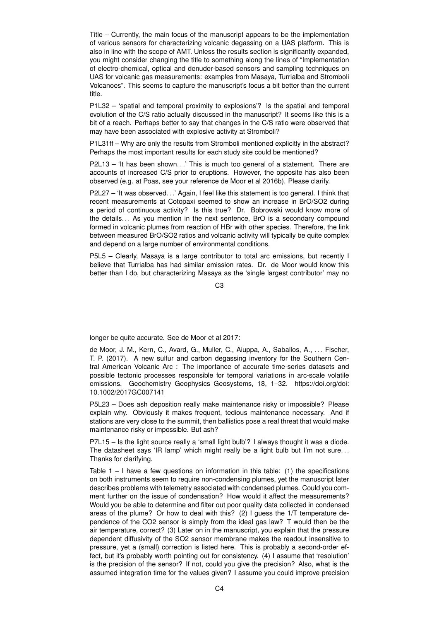Title – Currently, the main focus of the manuscript appears to be the implementation of various sensors for characterizing volcanic degassing on a UAS platform. This is also in line with the scope of AMT. Unless the results section is significantly expanded, you might consider changing the title to something along the lines of "Implementation of electro-chemical, optical and denuder-based sensors and sampling techniques on UAS for volcanic gas measurements: examples from Masaya, Turrialba and Stromboli Volcanoes". This seems to capture the manuscript's focus a bit better than the current title.

P1L32 – 'spatial and temporal proximity to explosions'? Is the spatial and temporal evolution of the C/S ratio actually discussed in the manuscript? It seems like this is a bit of a reach. Perhaps better to say that changes in the C/S ratio were observed that may have been associated with explosive activity at Stromboli?

P1L31ff – Why are only the results from Stromboli mentioned explicitly in the abstract? Perhaps the most important results for each study site could be mentioned?

P2L13 – 'It has been shown...' This is much too general of a statement. There are accounts of increased C/S prior to eruptions. However, the opposite has also been observed (e.g. at Poas, see your reference de Moor et al 2016b). Please clarify.

P2L27 – 'It was observed...' Again, I feel like this statement is too general. I think that recent measurements at Cotopaxi seemed to show an increase in BrO/SO2 during a period of continuous activity? Is this true? Dr. Bobrowski would know more of the details. . . As you mention in the next sentence, BrO is a secondary compound formed in volcanic plumes from reaction of HBr with other species. Therefore, the link between measured BrO/SO2 ratios and volcanic activity will typically be quite complex and depend on a large number of environmental conditions.

P5L5 – Clearly, Masaya is a large contributor to total arc emissions, but recently I believe that Turrialba has had similar emission rates. Dr. de Moor would know this better than I do, but characterizing Masaya as the 'single largest contributor' may no

C3

longer be quite accurate. See de Moor et al 2017:

de Moor, J. M., Kern, C., Avard, G., Muller, C., Aiuppa, A., Saballos, A., . . . Fischer, T. P. (2017). A new sulfur and carbon degassing inventory for the Southern Central American Volcanic Arc : The importance of accurate time-series datasets and possible tectonic processes responsible for temporal variations in arc-scale volatile emissions. Geochemistry Geophysics Geosystems, 18, 1–32. https://doi.org/doi: 10.1002/2017GC007141

P5L23 – Does ash deposition really make maintenance risky or impossible? Please explain why. Obviously it makes frequent, tedious maintenance necessary. And if stations are very close to the summit, then ballistics pose a real threat that would make maintenance risky or impossible. But ash?

P7L15 – Is the light source really a 'small light bulb'? I always thought it was a diode. The datasheet says 'IR lamp' which might really be a light bulb but I'm not sure. . . Thanks for clarifying.

Table  $1 - 1$  have a few questions on information in this table: (1) the specifications on both instruments seem to require non-condensing plumes, yet the manuscript later describes problems with telemetry associated with condensed plumes. Could you comment further on the issue of condensation? How would it affect the measurements? Would you be able to determine and filter out poor quality data collected in condensed areas of the plume? Or how to deal with this? (2) I guess the 1/T temperature dependence of the CO2 sensor is simply from the ideal gas law? T would then be the air temperature, correct? (3) Later on in the manuscript, you explain that the pressure dependent diffusivity of the SO2 sensor membrane makes the readout insensitive to pressure, yet a (small) correction is listed here. This is probably a second-order effect, but it's probably worth pointing out for consistency. (4) I assume that 'resolution' is the precision of the sensor? If not, could you give the precision? Also, what is the assumed integration time for the values given? I assume you could improve precision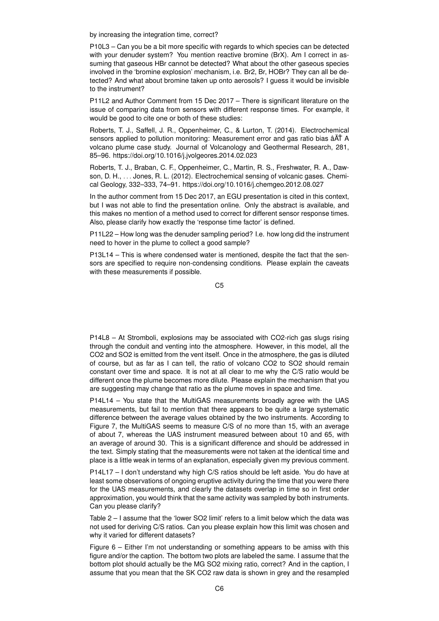by increasing the integration time, correct?

P10L3 – Can you be a bit more specific with regards to which species can be detected with your denuder system? You mention reactive bromine (BrX). Am I correct in assuming that gaseous HBr cannot be detected? What about the other gaseous species involved in the 'bromine explosion' mechanism, i.e. Br2, Br, HOBr? They can all be detected? And what about bromine taken up onto aerosols? I guess it would be invisible to the instrument?

P11L2 and Author Comment from 15 Dec 2017 – There is significant literature on the issue of comparing data from sensors with different response times. For example, it would be good to cite one or both of these studies:

Roberts, T. J., Saffell, J. R., Oppenheimer, C., & Lurton, T. (2014). Electrochemical sensors applied to pollution monitoring: Measurement error and gas ratio bias â $\tilde{A}$ T A volcano plume case study. Journal of Volcanology and Geothermal Research, 281, 85–96. https://doi.org/10.1016/j.jvolgeores.2014.02.023

Roberts, T. J., Braban, C. F., Oppenheimer, C., Martin, R. S., Freshwater, R. A., Dawson, D. H., . . . Jones, R. L. (2012). Electrochemical sensing of volcanic gases. Chemical Geology, 332–333, 74–91. https://doi.org/10.1016/j.chemgeo.2012.08.027

In the author comment from 15 Dec 2017, an EGU presentation is cited in this context, but I was not able to find the presentation online. Only the abstract is available, and this makes no mention of a method used to correct for different sensor response times. Also, please clarify how exactly the 'response time factor' is defined.

P11L22 – How long was the denuder sampling period? I.e. how long did the instrument need to hover in the plume to collect a good sample?

P13L14 – This is where condensed water is mentioned, despite the fact that the sensors are specified to require non-condensing conditions. Please explain the caveats with these measurements if possible.

C5

P14L8 – At Stromboli, explosions may be associated with CO2-rich gas slugs rising through the conduit and venting into the atmosphere. However, in this model, all the CO2 and SO2 is emitted from the vent itself. Once in the atmosphere, the gas is diluted of course, but as far as I can tell, the ratio of volcano CO2 to SO2 should remain constant over time and space. It is not at all clear to me why the C/S ratio would be different once the plume becomes more dilute. Please explain the mechanism that you are suggesting may change that ratio as the plume moves in space and time.

P14L14 – You state that the MultiGAS measurements broadly agree with the UAS measurements, but fail to mention that there appears to be quite a large systematic difference between the average values obtained by the two instruments. According to Figure 7, the MultiGAS seems to measure C/S of no more than 15, with an average of about 7, whereas the UAS instrument measured between about 10 and 65, with an average of around 30. This is a significant difference and should be addressed in the text. Simply stating that the measurements were not taken at the identical time and place is a little weak in terms of an explanation, especially given my previous comment.

P14L17 – I don't understand why high C/S ratios should be left aside. You do have at least some observations of ongoing eruptive activity during the time that you were there for the UAS measurements, and clearly the datasets overlap in time so in first order approximation, you would think that the same activity was sampled by both instruments. Can you please clarify?

Table 2 – I assume that the 'lower SO2 limit' refers to a limit below which the data was not used for deriving C/S ratios. Can you please explain how this limit was chosen and why it varied for different datasets?

Figure 6 – Either I'm not understanding or something appears to be amiss with this figure and/or the caption. The bottom two plots are labeled the same. I assume that the bottom plot should actually be the MG SO2 mixing ratio, correct? And in the caption, I assume that you mean that the SK CO2 raw data is shown in grey and the resampled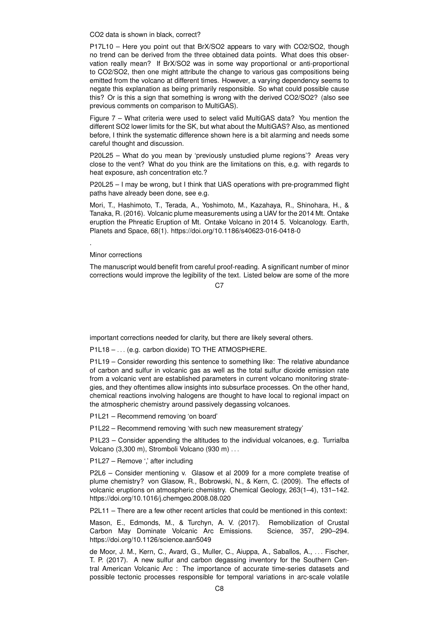CO2 data is shown in black, correct?

P17L10 – Here you point out that BrX/SO2 appears to vary with CO2/SO2, though no trend can be derived from the three obtained data points. What does this observation really mean? If BrX/SO2 was in some way proportional or anti-proportional to CO2/SO2, then one might attribute the change to various gas compositions being emitted from the volcano at different times. However, a varying dependency seems to negate this explanation as being primarily responsible. So what could possible cause this? Or is this a sign that something is wrong with the derived CO2/SO2? (also see previous comments on comparison to MultiGAS).

Figure 7 – What criteria were used to select valid MultiGAS data? You mention the different SO2 lower limits for the SK, but what about the MultiGAS? Also, as mentioned before, I think the systematic difference shown here is a bit alarming and needs some careful thought and discussion.

P20L25 – What do you mean by 'previously unstudied plume regions'? Areas very close to the vent? What do you think are the limitations on this, e.g. with regards to heat exposure, ash concentration etc.?

P20L25 – I may be wrong, but I think that UAS operations with pre-programmed flight paths have already been done, see e.g.

Mori, T., Hashimoto, T., Terada, A., Yoshimoto, M., Kazahaya, R., Shinohara, H., & Tanaka, R. (2016). Volcanic plume measurements using a UAV for the 2014 Mt. Ontake eruption the Phreatic Eruption of Mt. Ontake Volcano in 2014 5. Volcanology. Earth, Planets and Space, 68(1). https://doi.org/10.1186/s40623-016-0418-0

Minor corrections

.

The manuscript would benefit from careful proof-reading. A significant number of minor corrections would improve the legibility of the text. Listed below are some of the more

 $C<sub>2</sub>$ 

important corrections needed for clarity, but there are likely several others.

P1L18 – ... (e.g. carbon dioxide) TO THE ATMOSPHERE.

P1L19 – Consider rewording this sentence to something like: The relative abundance of carbon and sulfur in volcanic gas as well as the total sulfur dioxide emission rate from a volcanic vent are established parameters in current volcano monitoring strategies, and they oftentimes allow insights into subsurface processes. On the other hand, chemical reactions involving halogens are thought to have local to regional impact on the atmospheric chemistry around passively degassing volcanoes.

P1L21 – Recommend removing 'on board'

P1L22 – Recommend removing 'with such new measurement strategy'

P1L23 – Consider appending the altitudes to the individual volcanoes, e.g. Turrialba Volcano (3,300 m), Stromboli Volcano (930 m) . . .

P1L27 – Remove ',' after including

P2L6 – Consider mentioning v. Glasow et al 2009 for a more complete treatise of plume chemistry? von Glasow, R., Bobrowski, N., & Kern, C. (2009). The effects of volcanic eruptions on atmospheric chemistry. Chemical Geology, 263(1–4), 131–142. https://doi.org/10.1016/j.chemgeo.2008.08.020

P2L11 – There are a few other recent articles that could be mentioned in this context:

Mason, E., Edmonds, M., & Turchyn, A. V. (2017). Remobilization of Crustal Carbon May Dominate Volcanic Arc Emissions. Science, 357, 290–294. https://doi.org/10.1126/science.aan5049

de Moor, J. M., Kern, C., Avard, G., Muller, C., Aiuppa, A., Saballos, A., ... Fischer, T. P. (2017). A new sulfur and carbon degassing inventory for the Southern Central American Volcanic Arc : The importance of accurate time-series datasets and possible tectonic processes responsible for temporal variations in arc-scale volatile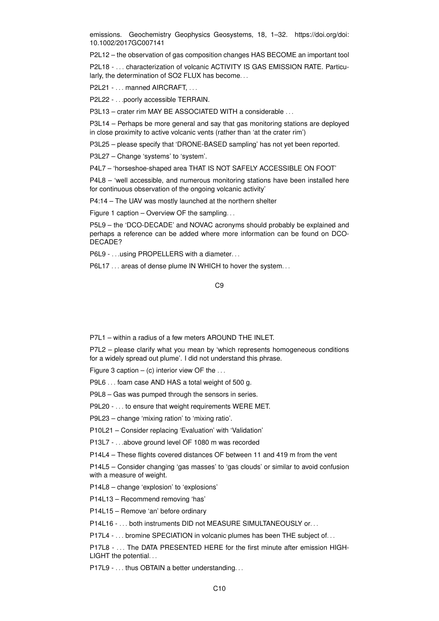emissions. Geochemistry Geophysics Geosystems, 18, 1–32. https://doi.org/doi: 10.1002/2017GC007141

P2L12 – the observation of gas composition changes HAS BECOME an important tool

P2L18 - . . . characterization of volcanic ACTIVITY IS GAS EMISSION RATE. Particularly, the determination of SO2 FLUX has become...

P2L21 - . . . manned AIRCRAFT, . . .

P2L22 - . . .poorly accessible TERRAIN.

P3L13 – crater rim MAY BE ASSOCIATED WITH a considerable . . .

P3L14 – Perhaps be more general and say that gas monitoring stations are deployed in close proximity to active volcanic vents (rather than 'at the crater rim')

P3L25 – please specify that 'DRONE-BASED sampling' has not yet been reported.

P3L27 – Change 'systems' to 'system'.

P4L7 – 'horseshoe-shaped area THAT IS NOT SAFELY ACCESSIBLE ON FOOT'

P4L8 – 'well accessible, and numerous monitoring stations have been installed here for continuous observation of the ongoing volcanic activity'

P4:14 – The UAV was mostly launched at the northern shelter

Figure 1 caption – Overview OF the sampling. . .

P5L9 – the 'DCO-DECADE' and NOVAC acronyms should probably be explained and perhaps a reference can be added where more information can be found on DCO-DECADE?

P6L9 - . . . using PROPELLERS with a diameter. . .

P6L17 . . . areas of dense plume IN WHICH to hover the system. . .

C9

P7L1 – within a radius of a few meters AROUND THE INLET.

P7L2 – please clarify what you mean by 'which represents homogeneous conditions for a widely spread out plume'. I did not understand this phrase.

Figure 3 caption  $-$  (c) interior view OF the  $\dots$ 

P9L6 . . . foam case AND HAS a total weight of 500 g.

P9L8 – Gas was pumped through the sensors in series.

P9L20 - . . . to ensure that weight requirements WERE MET.

P9L23 – change 'mixing ration' to 'mixing ratio'.

P10L21 – Consider replacing 'Evaluation' with 'Validation'

P13L7 - . . .above ground level OF 1080 m was recorded

P14L4 – These flights covered distances OF between 11 and 419 m from the vent

P14L5 – Consider changing 'gas masses' to 'gas clouds' or similar to avoid confusion with a measure of weight.

P14L8 – change 'explosion' to 'explosions'

P14L13 – Recommend removing 'has'

P14L15 – Remove 'an' before ordinary

P14L16 - ... both instruments DID not MEASURE SIMULTANEOUSLY or...

P17L4 - ... bromine SPECIATION in volcanic plumes has been THE subject of...

P17L8 - . . . The DATA PRESENTED HERE for the first minute after emission HIGH-LIGHT the potential...

P17L9 - ... thus OBTAIN a better understanding...